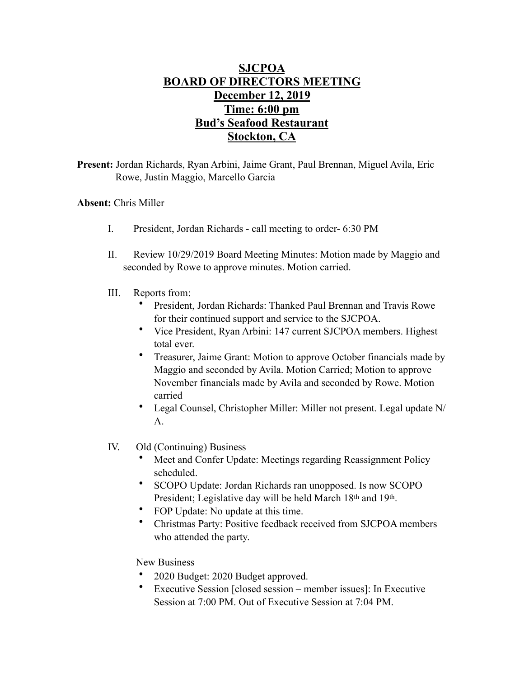## **SJCPOA BOARD OF DIRECTORS MEETING December 12, 2019 Time: 6:00 pm Bud's Seafood Restaurant Stockton, CA**

**Present:** Jordan Richards, Ryan Arbini, Jaime Grant, Paul Brennan, Miguel Avila, Eric Rowe, Justin Maggio, Marcello Garcia

## **Absent:** Chris Miller

- I. President, Jordan Richards call meeting to order- 6:30 PM
- II. Review 10/29/2019 Board Meeting Minutes: Motion made by Maggio and seconded by Rowe to approve minutes. Motion carried.
- III. Reports from:
	- President, Jordan Richards: Thanked Paul Brennan and Travis Rowe for their continued support and service to the SJCPOA.
	- Vice President, Ryan Arbini: 147 current SJCPOA members. Highest total ever.
	- Treasurer, Jaime Grant: Motion to approve October financials made by Maggio and seconded by Avila. Motion Carried; Motion to approve November financials made by Avila and seconded by Rowe. Motion carried
	- Legal Counsel, Christopher Miller: Miller not present. Legal update N/ A.
- IV. Old (Continuing) Business
	- Meet and Confer Update: Meetings regarding Reassignment Policy scheduled.
	- SCOPO Update: Jordan Richards ran unopposed. Is now SCOPO President; Legislative day will be held March 18th and 19th.
	- FOP Update: No update at this time.
	- Christmas Party: Positive feedback received from SJCPOA members who attended the party.

New Business

- 2020 Budget: 2020 Budget approved.
- Executive Session [closed session member issues]: In Executive Session at 7:00 PM. Out of Executive Session at 7:04 PM.